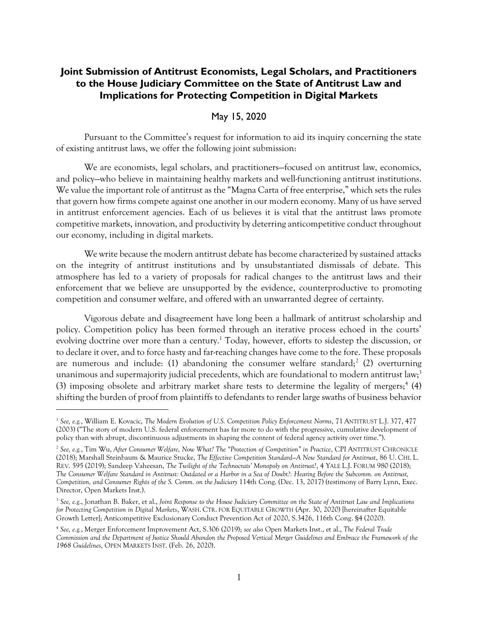# **Joint Submission of Antitrust Economists, Legal Scholars, and Practitioners to the House Judiciary Committee on the State of Antitrust Law and Implications for Protecting Competition in Digital Markets**

### <span id="page-0-0"></span>May 15, 2020

Pursuant to the Committee's request for information to aid its inquiry concerning the state of existing antitrust laws, we offer the following joint submission:

We are economists, legal scholars, and practitioners—focused on antitrust law, economics, and policy—who believe in maintaining healthy markets and well-functioning antitrust institutions. We value the important role of antitrust as the "Magna Carta of free enterprise," which sets the rules that govern how firms compete against one another in our modern economy. Many of us have served in antitrust enforcement agencies. Each of us believes it is vital that the antitrust laws promote competitive markets, innovation, and productivity by deterring anticompetitive conduct throughout our economy, including in digital markets.

We write because the modern antitrust debate has become characterized by sustained attacks on the integrity of antitrust institutions and by unsubstantiated dismissals of debate. This atmosphere has led to a variety of proposals for radical changes to the antitrust laws and their enforcement that we believe are unsupported by the evidence, counterproductive to promoting competition and consumer welfare, and offered with an unwarranted degree of certainty.

Vigorous debate and disagreement have long been a hallmark of antitrust scholarship and policy. Competition policy has been formed through an iterative process echoed in the courts' evolving doctrine over more than a century.<sup>1</sup> Today, however, efforts to sidestep the discussion, or to declare it over, and to force hasty and far-reaching changes have come to the fore. These proposals are numerous and include: (1) abandoning the consumer welfare standard;<sup>2</sup> (2) overturning unanimous and supermajority judicial precedents, which are foundational to modern antitrust law;<sup>3</sup> (3) imposing obsolete and arbitrary market share tests to determine the legality of mergers;<sup>4</sup> (4) shifting the burden of proof from plaintiffs to defendants to render large swaths of business behavior

<sup>1</sup> *See, e.g.*, William E. Kovacic, *The Modern Evolution of U.S. Competition Policy Enforcement Norms*, 71 ANTITRUST L.J. 377, 477 (2003) ("The story of modern U.S. federal enforcement has far more to do with the progressive, cumulative development of policy than with abrupt, discontinuous adjustments in shaping the content of federal agency activity over time.").

<sup>2</sup> *See, e.g.*, Tim Wu, *After Consumer Welfare, Now What? The "Protection of Competition" in Practice*, CPI ANTITRUST CHRONICLE (2018); Marshall Steinbaum & Maurice Stucke, *The Effective Competition Standard—A New Standard for Antitrust*, 86 U. CHI. L. REV. 595 (2019); Sandeep Vaheesan, *The Twilight of the Technocrats' Monopoly on Antitrust?*, 4 YALE L.J. FORUM 980 (2018); *The Consumer Welfare Standard in Antitrust: Outdated or a Harbor in a Sea of Doubt?: Hearing Before the Subcomm. on Antitrust, Competition, and Consumer Rights of the S. Comm. on the Judiciary* 114th Cong. (Dec. 13, 2017) (testimony of Barry Lynn, Exec. Director, Open Markets Inst.).

<sup>3</sup> *See, e.g*., Jonathan B. Baker, et al., *Joint Response to the House Judiciary Committee on the State of Antitrust Law and Implications for Protecting Competition in Digital Markets*, WASH. CTR. FOR EQUITABLE GROWTH (Apr. 30, 2020) [hereinafter Equitable Growth Letter]; Anticompetitive Exclusionary Conduct Prevention Act of 2020, S.3426, 116th Cong. §4 (2020).

<sup>4</sup> *See, e.g.*, Merger Enforcement Improvement Act, S.306 (2019); *see also* Open Markets Inst., et al., *The Federal Trade Commission and the Department of Justice Should Abandon the Proposed Vertical Merger Guidelines and Embrace the Framework of the 1968 Guidelines*, OPEN MARKETS INST. (Feb. 26, 2020).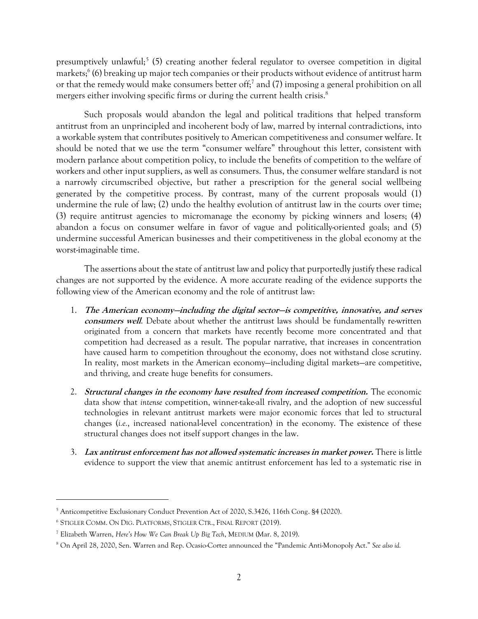<span id="page-1-0"></span>presumptively unlawful;<sup>5</sup> (5) creating another federal regulator to oversee competition in digital markets;<sup>6</sup> (6) breaking up major tech companies or their products without evidence of antitrust harm or that the remedy would make consumers better off; 7 and (7) imposing a general prohibition on all mergers either involving specific firms or during the current health crisis.<sup>8</sup>

Such proposals would abandon the legal and political traditions that helped transform antitrust from an unprincipled and incoherent body of law, marred by internal contradictions, into a workable system that contributes positively to American competitiveness and consumer welfare. It should be noted that we use the term "consumer welfare" throughout this letter, consistent with modern parlance about competition policy, to include the benefits of competition to the welfare of workers and other input suppliers, as well as consumers. Thus, the consumer welfare standard is not a narrowly circumscribed objective, but rather a prescription for the general social wellbeing generated by the competitive process. By contrast, many of the current proposals would (1) undermine the rule of law; (2) undo the healthy evolution of antitrust law in the courts over time; (3) require antitrust agencies to micromanage the economy by picking winners and losers; (4) abandon a focus on consumer welfare in favor of vague and politically-oriented goals; and (5) undermine successful American businesses and their competitiveness in the global economy at the worst-imaginable time.

The assertions about the state of antitrust law and policy that purportedly justify these radical changes are not supported by the evidence. A more accurate reading of the evidence supports the following view of the American economy and the role of antitrust law:

- 1. **The American economy—including the digital sector—is competitive, innovative, and serves consumers well**. Debate about whether the antitrust laws should be fundamentally re-written originated from a concern that markets have recently become more concentrated and that competition had decreased as a result. The popular narrative, that increases in concentration have caused harm to competition throughout the economy, does not withstand close scrutiny. In reality, most markets in the American economy—including digital markets—are competitive, and thriving, and create huge benefits for consumers.
- 2. **Structural changes in the economy have resulted from increased competition.** The economic data show that *intense* competition, winner-take-all rivalry, and the adoption of new successful technologies in relevant antitrust markets were major economic forces that led to structural changes (*i.e.*, increased national-level concentration) in the economy. The existence of these structural changes does not itself support changes in the law.
- 3. **Lax antitrust enforcement has not allowed systematic increases in market power.** There is little evidence to support the view that anemic antitrust enforcement has led to a systematic rise in

<sup>&</sup>lt;sup>5</sup> Anticompetitive Exclusionary Conduct Prevention Act of 2020, S.3426, 116th Cong. §4 (2020).

<sup>6</sup> STIGLER COMM. ON DIG. PLATFORMS, STIGLER CTR., FINAL REPORT (2019).

<sup>7</sup> Elizabeth Warren, *Here's How We Can Break Up Big Tech*, MEDIUM (Mar. 8, 2019).

<sup>8</sup> On April 28, 2020, Sen. Warren and Rep. Ocasio-Cortez announced the "Pandemic Anti-Monopoly Act." *See also id.*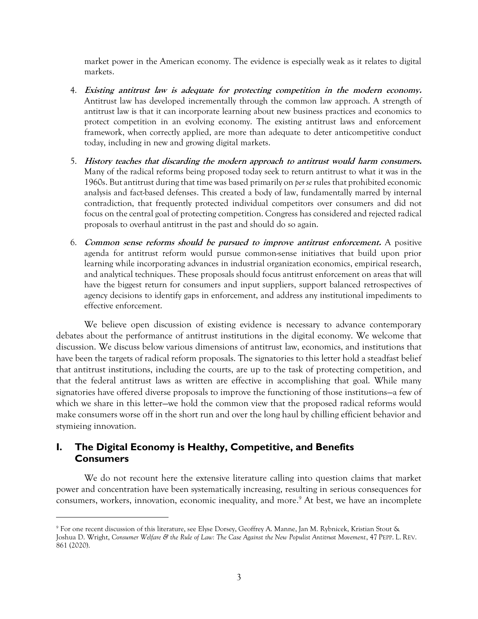market power in the American economy. The evidence is especially weak as it relates to digital markets.

- 4. **Existing antitrust law is adequate for protecting competition in the modern economy.** Antitrust law has developed incrementally through the common law approach. A strength of antitrust law is that it can incorporate learning about new business practices and economics to protect competition in an evolving economy. The existing antitrust laws and enforcement framework, when correctly applied, are more than adequate to deter anticompetitive conduct today, including in new and growing digital markets.
- 5. **History teaches that discarding the modern approach to antitrust would harm consumers.** Many of the radical reforms being proposed today seek to return antitrust to what it was in the 1960s. But antitrust during that time was based primarily on *per se* rules that prohibited economic analysis and fact-based defenses. This created a body of law, fundamentally marred by internal contradiction, that frequently protected individual competitors over consumers and did not focus on the central goal of protecting competition. Congress has considered and rejected radical proposals to overhaul antitrust in the past and should do so again.
- 6. **Common sense reforms should be pursued to improve antitrust enforcement.** A positive agenda for antitrust reform would pursue common-sense initiatives that build upon prior learning while incorporating advances in industrial organization economics, empirical research, and analytical techniques. These proposals should focus antitrust enforcement on areas that will have the biggest return for consumers and input suppliers, support balanced retrospectives of agency decisions to identify gaps in enforcement, and address any institutional impediments to effective enforcement.

We believe open discussion of existing evidence is necessary to advance contemporary debates about the performance of antitrust institutions in the digital economy. We welcome that discussion. We discuss below various dimensions of antitrust law, economics, and institutions that have been the targets of radical reform proposals. The signatories to this letter hold a steadfast belief that antitrust institutions, including the courts, are up to the task of protecting competition, and that the federal antitrust laws as written are effective in accomplishing that goal. While many signatories have offered diverse proposals to improve the functioning of those institutions—a few of which we share in this letter—we hold the common view that the proposed radical reforms would make consumers worse off in the short run and over the long haul by chilling efficient behavior and stymieing innovation.

# **I. The Digital Economy is Healthy, Competitive, and Benefits Consumers**

We do not recount here the extensive literature calling into question claims that market power and concentration have been systematically increasing, resulting in serious consequences for consumers, workers, innovation, economic inequality, and more. <sup>9</sup> At best, we have an incomplete

<sup>9</sup> For one recent discussion of this literature, see Elyse Dorsey, Geoffrey A. Manne, Jan M. Rybnicek, Kristian Stout & Joshua D. Wright, *Consumer Welfare & the Rule of Law: The Case Against the New Populist Antitrust Movement*, 47 PEPP. L. REV. 861 (2020).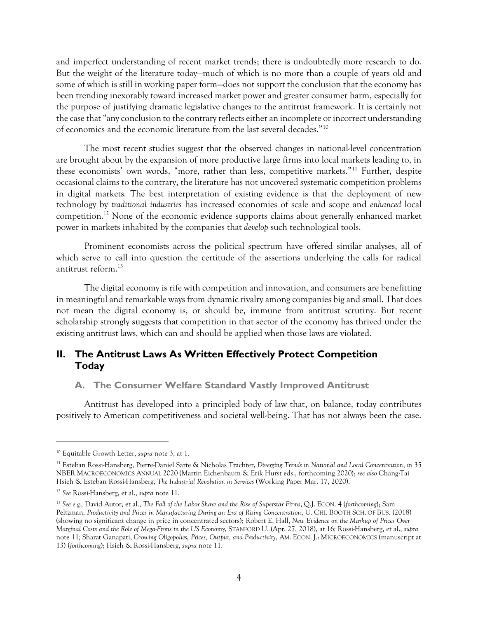and imperfect understanding of recent market trends; there is undoubtedly more research to do. But the weight of the literature today—much of which is no more than a couple of years old and some of which is still in working paper form—does not support the conclusion that the economy has been trending inexorably toward increased market power and greater consumer harm, especially for the purpose of justifying dramatic legislative changes to the antitrust framework. It is certainly not the case that "any conclusion to the contrary reflects either an incomplete or incorrect understanding of economics and the economic literature from the last several decades."<sup>10</sup>

<span id="page-3-0"></span>The most recent studies suggest that the observed changes in national-level concentration are brought about by the expansion of more productive large firms into local markets leading to, in these economists' own words, "more, rather than less, competitive markets."<sup>11</sup> Further, despite occasional claims to the contrary, the literature has not uncovered systematic competition problems in digital markets. The best interpretation of existing evidence is that the deployment of new technology by *traditional industries* has increased economies of scale and scope and *enhanced* local competition.<sup>12</sup> None of the economic evidence supports claims about generally enhanced market power in markets inhabited by the companies that *develop* such technological tools.

Prominent economists across the political spectrum have offered similar analyses, all of which serve to call into question the certitude of the assertions underlying the calls for radical antitrust reform  $^{13}$ 

The digital economy is rife with competition and innovation, and consumers are benefitting in meaningful and remarkable ways from dynamic rivalry among companies big and small. That does not mean the digital economy is, or should be, immune from antitrust scrutiny. But recent scholarship strongly suggests that competition in that sector of the economy has thrived under the existing antitrust laws, which can and should be applied when those laws are violated.

# **II. The Antitrust Laws As Written Effectively Protect Competition Today**

#### **A. The Consumer Welfare Standard Vastly Improved Antitrust**

Antitrust has developed into a principled body of law that, on balance, today contributes positively to American competitiveness and societal well-being. That has not always been the case.

<sup>10</sup> Equitable Growth Letter, *supra* note [3,](#page-0-0) at 1.

<sup>11</sup> Esteban Rossi-Hansberg, Pierre-Daniel Sarte & Nicholas Trachter, *Diverging Trends in National and Local Concentration*, *in* 35 NBER MACROECONOMICS ANNUAL 2020 (Martin Eichenbaum & Erik Hurst eds., forthcoming 2020); *see also* Chang-Tai Hsieh & Esteban Rossi-Hansberg, *The Industrial Revolution in Services* (Working Paper Mar. 17, 2020).

<sup>12</sup> *See* Rossi-Hansberg, et al., *supra* not[e 11.](#page-3-0)

<sup>13</sup> *See e.g.,* David Autor, et al., *The Fall of the Labor Share and the Rise of Superstar Firms*, Q.J. ECON. 4 (*forthcoming*); Sam Peltzman, *Productivity and Prices in Manufacturing During an Era of Rising Concentration*, U. CHI. BOOTH SCH. OF BUS. (2018) (showing no significant change in price in concentrated sectors); Robert E. Hall, *New Evidence on the Markup of Prices Over Marginal Costs and the Role of Mega-Firms in the US Economy*, STANFORD U. (Apr. 27, 2018), at 16*;* Rossi-Hansberg, et al., *supra* note [11](#page-3-0)*;* Sharat Ganapati, *Growing Oligopolies, Prices, Output, and Productivity*, AM. ECON. J.: MICROECONOMICS (manuscript at 13) (*forthcoming*); Hsieh & Rossi-Hansberg, *supra* not[e 11.](#page-3-0)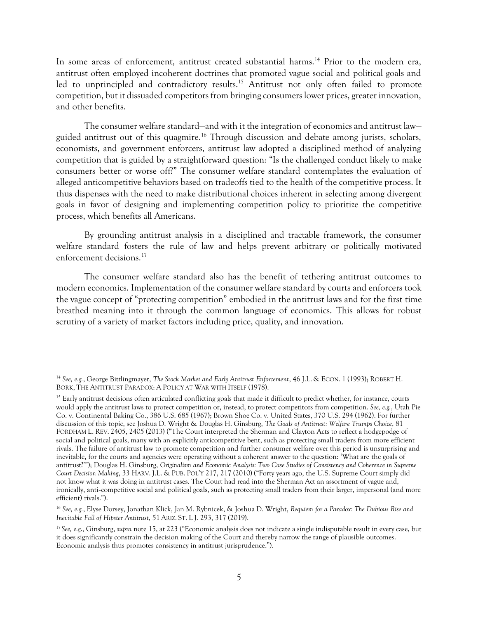<span id="page-4-0"></span>In some areas of enforcement, antitrust created substantial harms. <sup>14</sup> Prior to the modern era, antitrust often employed incoherent doctrines that promoted vague social and political goals and led to unprincipled and contradictory results.<sup>15</sup> Antitrust not only often failed to promote competition, but it dissuaded competitors from bringing consumers lower prices, greater innovation, and other benefits.

The consumer welfare standard—and with it the integration of economics and antitrust law guided antitrust out of this quagmire.<sup>16</sup> Through discussion and debate among jurists, scholars, economists, and government enforcers, antitrust law adopted a disciplined method of analyzing competition that is guided by a straightforward question: "Is the challenged conduct likely to make consumers better or worse off?" The consumer welfare standard contemplates the evaluation of alleged anticompetitive behaviors based on tradeoffs tied to the health of the competitive process. It thus dispenses with the need to make distributional choices inherent in selecting among divergent goals in favor of designing and implementing competition policy to prioritize the competitive process, which benefits all Americans.

By grounding antitrust analysis in a disciplined and tractable framework, the consumer welfare standard fosters the rule of law and helps prevent arbitrary or politically motivated enforcement decisions.<sup>17</sup>

The consumer welfare standard also has the benefit of tethering antitrust outcomes to modern economics. Implementation of the consumer welfare standard by courts and enforcers took the vague concept of "protecting competition" embodied in the antitrust laws and for the first time breathed meaning into it through the common language of economics. This allows for robust scrutiny of a variety of market factors including price, quality, and innovation.

<sup>14</sup> *See, e.g.*, George Bittlingmayer, *The Stock Market and Early Antitrust Enforcement*, 46 J.L. & ECON. 1 (1993); ROBERT H. BORK, THE ANTITRUST PARADOX: A POLICY AT WAR WITH ITSELF (1978).

<sup>&</sup>lt;sup>15</sup> Early antitrust decisions often articulated conflicting goals that made it difficult to predict whether, for instance, courts would apply the antitrust laws to protect competition or, instead, to protect competitors from competition. *See, e.g.*, Utah Pie Co. v. Continental Baking Co., 386 U.S. 685 (1967); Brown Shoe Co. v. United States, 370 U.S. 294 (1962). For further discussion of this topic, see Joshua D. Wright & Douglas H. Ginsburg, *The Goals of Antitrust: Welfare Trumps Choice*, 81 FORDHAM L. REV. 2405, 2405 (2013) ("The Court interpreted the Sherman and Clayton Acts to reflect a hodgepodge of social and political goals, many with an explicitly anticompetitive bent, such as protecting small traders from more efficient rivals. The failure of antitrust law to promote competition and further consumer welfare over this period is unsurprising and inevitable, for the courts and agencies were operating without a coherent answer to the question: 'What are the goals of antitrust?'"); Douglas H. Ginsburg, *Originalism and Economic Analysis: Two Case Studies of Consistency and Coherence in Supreme Court Decision Making*, 33 HARV. J.L. & PUB. POL'Y 217, 217 (2010) ("Forty years ago, the U.S. Supreme Court simply did not know what it was doing in antitrust cases. The Court had read into the Sherman Act an assortment of vague and, ironically, anti-competitive social and political goals, such as protecting small traders from their larger, impersonal (and more efficient) rivals.").

<sup>16</sup> *See, e.g.*, Elyse Dorsey, Jonathan Klick, Jan M. Rybnicek, & Joshua D. Wright, *Requiem for a Paradox: The Dubious Rise and Inevitable Fall of Hipster Antitrust*, 51 ARIZ. ST. L J. 293, 317 (2019).

<sup>17</sup> *See, e.g*., Ginsburg, *supra* note [15](#page-4-0), at 223 ("Economic analysis does not indicate a single indisputable result in every case, but it does significantly constrain the decision making of the Court and thereby narrow the range of plausible outcomes. Economic analysis thus promotes consistency in antitrust jurisprudence.").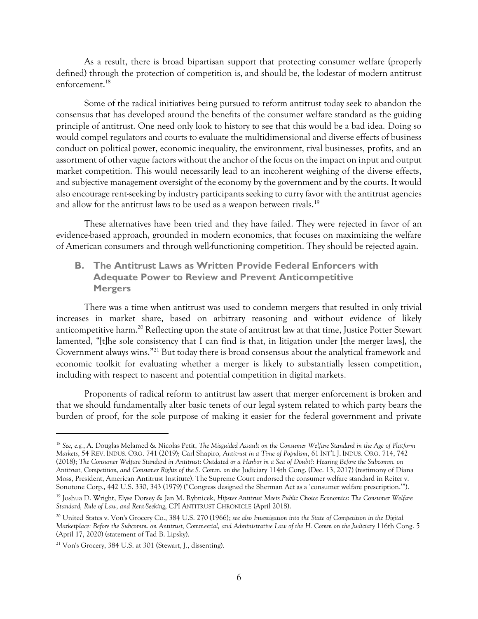As a result, there is broad bipartisan support that protecting consumer welfare (properly defined) through the protection of competition is, and should be, the lodestar of modern antitrust enforcement.<sup>18</sup>

Some of the radical initiatives being pursued to reform antitrust today seek to abandon the consensus that has developed around the benefits of the consumer welfare standard as the guiding principle of antitrust. One need only look to history to see that this would be a bad idea. Doing so would compel regulators and courts to evaluate the multidimensional and diverse effects of business conduct on political power, economic inequality, the environment, rival businesses, profits, and an assortment of other vague factors without the anchor of the focus on the impact on input and output market competition. This would necessarily lead to an incoherent weighing of the diverse effects, and subjective management oversight of the economy by the government and by the courts. It would also encourage rent-seeking by industry participants seeking to curry favor with the antitrust agencies and allow for the antitrust laws to be used as a weapon between rivals.<sup>19</sup>

These alternatives have been tried and they have failed. They were rejected in favor of an evidence-based approach, grounded in modern economics, that focuses on maximizing the welfare of American consumers and through well-functioning competition. They should be rejected again.

### **B. The Antitrust Laws as Written Provide Federal Enforcers with Adequate Power to Review and Prevent Anticompetitive Mergers**

There was a time when antitrust was used to condemn mergers that resulted in only trivial increases in market share, based on arbitrary reasoning and without evidence of likely anticompetitive harm.<sup>20</sup> Reflecting upon the state of antitrust law at that time, Justice Potter Stewart lamented, "[t]he sole consistency that I can find is that, in litigation under [the merger laws], the Government always wins."<sup>21</sup> But today there is broad consensus about the analytical framework and economic toolkit for evaluating whether a merger is likely to substantially lessen competition, including with respect to nascent and potential competition in digital markets.

Proponents of radical reform to antitrust law assert that merger enforcement is broken and that we should fundamentally alter basic tenets of our legal system related to which party bears the burden of proof, for the sole purpose of making it easier for the federal government and private

<sup>18</sup> *See, e.g.*, A. Douglas Melamed & Nicolas Petit, *The Misguided Assault on the Consumer Welfare Standard in the Age of Platform Markets*, 54 REV. INDUS. ORG. 741 (2019); Carl Shapiro*, Antitrust in a Time of Populism*, 61 INT'L J. INDUS. ORG. 714, 742 (2018); *The Consumer Welfare Standard in Antitrust: Outdated or a Harbor in a Sea of Doubt?: Hearing Before the Subcomm. on Antitrust, Competition, and Consumer Rights of the S. Comm. on the* Judiciary 114th Cong. (Dec. 13, 2017) (testimony of Diana Moss, President, American Antitrust Institute). The Supreme Court endorsed the consumer welfare standard in Reiter v. Sonotone Corp., 442 U.S. 330, 343 (1979) ("Congress designed the Sherman Act as a 'consumer welfare prescription.'").

<sup>19</sup> Joshua D. Wright, Elyse Dorsey & Jan M. Rybnicek, *Hipster Antitrust Meets Public Choice Economics: The Consumer Welfare Standard, Rule of Law, and Rent-Seeking*, CPI ANTITRUST CHRONICLE (April 2018).

<sup>20</sup> United States v. Von's Grocery Co., 384 U.S. 270 (1966); *see also Investigation into the State of Competition in the Digital Marketplace: Before the Subcomm. on Antitrust, Commercial, and Administrative Law of the H. Comm on the Judiciary* 116th Cong. 5 (April 17, 2020) (statement of Tad B. Lipsky).

<sup>21</sup> Von's Grocery, 384 U.S. at 301 (Stewart, J., dissenting).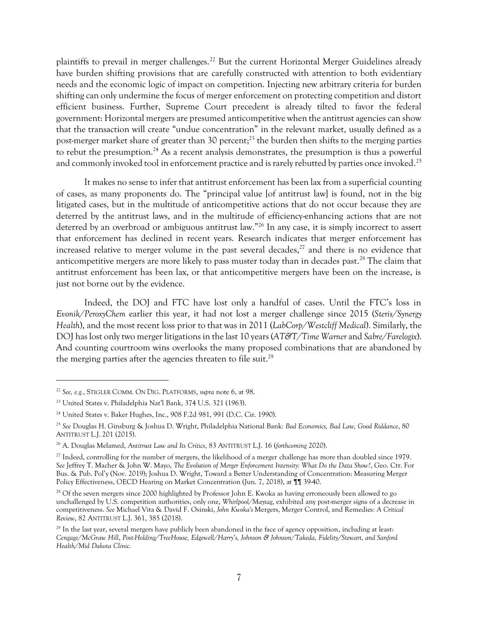plaintiffs to prevail in merger challenges.<sup>22</sup> But the current Horizontal Merger Guidelines already have burden shifting provisions that are carefully constructed with attention to both evidentiary needs and the economic logic of impact on competition. Injecting new arbitrary criteria for burden shifting can only undermine the focus of merger enforcement on protecting competition and distort efficient business. Further, Supreme Court precedent is already tilted to favor the federal government: Horizontal mergers are presumed anticompetitive when the antitrust agencies can show that the transaction will create "undue concentration" in the relevant market, usually defined as a post-merger market share of greater than 30 percent; <sup>23</sup> the burden then shifts to the merging parties to rebut the presumption.<sup>24</sup> As a recent analysis demonstrates, the presumption is thus a powerful and commonly invoked tool in enforcement practice and is rarely rebutted by parties once invoked. $^{25}$ 

It makes no sense to infer that antitrust enforcement has been lax from a superficial counting of cases, as many proponents do. The "principal value [of antitrust law] is found, not in the big litigated cases, but in the multitude of anticompetitive actions that do not occur because they are deterred by the antitrust laws, and in the multitude of efficiency-enhancing actions that are not deterred by an overbroad or ambiguous antitrust law."<sup>26</sup> In any case, it is simply incorrect to assert that enforcement has declined in recent years. Research indicates that merger enforcement has increased relative to merger volume in the past several decades, <sup>27</sup> and there is no evidence that anticompetitive mergers are more likely to pass muster today than in decades past.<sup>28</sup> The claim that antitrust enforcement has been lax, or that anticompetitive mergers have been on the increase, is just not borne out by the evidence.

Indeed, the DOJ and FTC have lost only a handful of cases. Until the FTC's loss in *Evonik/PeroxyChem* earlier this year, it had not lost a merger challenge since 2015 (*Steris/Synergy Health*), and the most recent loss prior to that was in 2011 (*LabCorp/Westcliff Medical*). Similarly, the DOJ has lost onlytwo merger litigations in the last 10 years (*AT&T/Time Warner* and *Sabre/Farelogix*). And counting courtroom wins overlooks the many proposed combinations that are abandoned by the merging parties after the agencies threaten to file suit.<sup>29</sup>

<sup>22</sup> *See, e.g.*, STIGLER COMM. ON DIG. PLATFORMS, *supra* not[e 6,](#page-1-0) at 98.

<sup>23</sup> United States v. Philadelphia Nat'l Bank, 374 U.S. 321 (1963).

<sup>&</sup>lt;sup>24</sup> United States v. Baker Hughes, Inc., 908 F.2d 981, 991 (D.C. Cir. 1990).

<sup>25</sup> *See* Douglas H. Ginsburg & Joshua D. Wright, Philadelphia National Bank*: Bad Economics, Bad Law, Good Riddance*, 80 ANTITRUST L.J. 201 (2015).

<sup>26</sup> A. Douglas Melamed, *Antitrust Law and Its Critics*, 83 ANTITRUST L.J. 16 (*forthcoming* 2020).

<sup>&</sup>lt;sup>27</sup> Indeed, controlling for the number of mergers, the likelihood of a merger challenge has more than doubled since 1979. *See* Jeffrey T. Macher & John W. Mayo, *The Evolution of Merger Enforcement Intensity: What Do the Data Show?*, Geo. Ctr. For Bus. & Pub. Pol'y (Nov. 2019); Joshua D. Wright, Toward a Better Understanding of Concentration: Measuring Merger Policy Effectiveness, OECD Hearing on Market Concentration (Jun. 7, 2018), at ¶¶ 39-40.

<sup>&</sup>lt;sup>28</sup> Of the seven mergers since 2000 highlighted by Professor John E. Kwoka as having erroneously been allowed to go unchallenged by U.S. competition authorities, only one, *Whirlpool/Maytag*, exhibited any post-merger signs of a decrease in competitiveness. *See* Michael Vita & David F. Osinski, *John Kwoka's* Mergers, Merger Control, and Remedies*: A Critical Review*, 82 ANTITRUST L.J. 361, 385 (2018).

 $29$  In the last year, several mergers have publicly been abandoned in the face of agency opposition, including at least: *Cengage/McGraw Hill*, *Post-Holding/TreeHouse, Edgewell/Harry's, Johnson & Johnson/Takeda, Fidelity/Stewart, and Sanford Health/Mid Dakota Clinic.*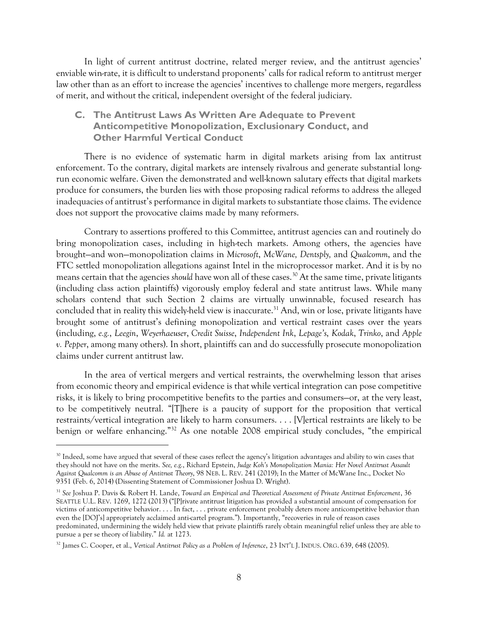In light of current antitrust doctrine, related merger review, and the antitrust agencies' enviable win-rate, it is difficult to understand proponents' calls for radical reform to antitrust merger law other than as an effort to increase the agencies' incentives to challenge more mergers, regardless of merit, and without the critical, independent oversight of the federal judiciary.

### **C. The Antitrust Laws As Written Are Adequate to Prevent Anticompetitive Monopolization, Exclusionary Conduct, and Other Harmful Vertical Conduct**

There is no evidence of systematic harm in digital markets arising from lax antitrust enforcement. To the contrary, digital markets are intensely rivalrous and generate substantial longrun economic welfare. Given the demonstrated and well-known salutary effects that digital markets produce for consumers, the burden lies with those proposing radical reforms to address the alleged inadequacies of antitrust's performance in digital markets to substantiate those claims. The evidence does not support the provocative claims made by many reformers.

Contrary to assertions proffered to this Committee, antitrust agencies can and routinely do bring monopolization cases, including in high-tech markets. Among others, the agencies have brought—and won—monopolization claims in *Microsoft*, *McWane, Dentsply,* and *Qualcomm*, and the FTC settled monopolization allegations against Intel in the microprocessor market. And it is by no means certain that the agencies *should* have won all of these cases.<sup>30</sup> At the same time, private litigants (including class action plaintiffs) vigorously employ federal and state antitrust laws. While many scholars contend that such Section 2 claims are virtually unwinnable, focused research has concluded that in reality this widely-held view is inaccurate. <sup>31</sup> And, win or lose, private litigants have brought some of antitrust's defining monopolization and vertical restraint cases over the years (including, *e.g.*, *Leegin*, *Weyerhaeuser*, *Credit Suisse*, *Independent Ink*, *Lepage's*, *Kodak*, *Trinko*, and *Apple v. Pepper*, among many others). In short, plaintiffs can and do successfully prosecute monopolization claims under current antitrust law.

In the area of vertical mergers and vertical restraints, the overwhelming lesson that arises from economic theory and empirical evidence is that while vertical integration can pose competitive risks, it is likely to bring procompetitive benefits to the parties and consumers—or, at the very least, to be competitively neutral. "[T]here is a paucity of support for the proposition that vertical restraints/vertical integration are likely to harm consumers. . . . [V]ertical restraints are likely to be benign or welfare enhancing." <sup>32</sup> As one notable 2008 empirical study concludes, "the empirical

<sup>&</sup>lt;sup>30</sup> Indeed, some have argued that several of these cases reflect the agency's litigation advantages and ability to win cases that they should not have on the merits. *See, e.g.*, Richard Epstein, *Judge Koh's Monopolization Mania: Her Novel Antitrust Assault Against Qualcomm is an Abuse of Antitrust Theory*, 98 NEB. L. REV. 241 (2019); In the Matter of McWane Inc., Docket No 9351 (Feb. 6, 2014) (Dissenting Statement of Commissioner Joshua D. Wright).

<sup>31</sup> *See* Joshua P. Davis & Robert H. Lande, *Toward an Empirical and Theoretical Assessment of Private Antitrust Enforcement*, 36 SEATTLE U.L. REV. 1269, 1272 (2013) ("[P]rivate antitrust litigation has provided a substantial amount of compensation for victims of anticompetitive behavior. . . . In fact, . . . private enforcement probably deters more anticompetitive behavior than even the [DOJ's] appropriately acclaimed anti-cartel program."). Importantly, "recoveries in rule of reason cases predominated, undermining the widely held view that private plaintiffs rarely obtain meaningful relief unless they are able to pursue a per se theory of liability." *Id.* at 1273.

<sup>&</sup>lt;sup>32</sup> James C. Cooper, et al., *Vertical Antitrust Policy as a Problem of Inference*, 23 INT'L J. INDUS. ORG. 639, 648 (2005).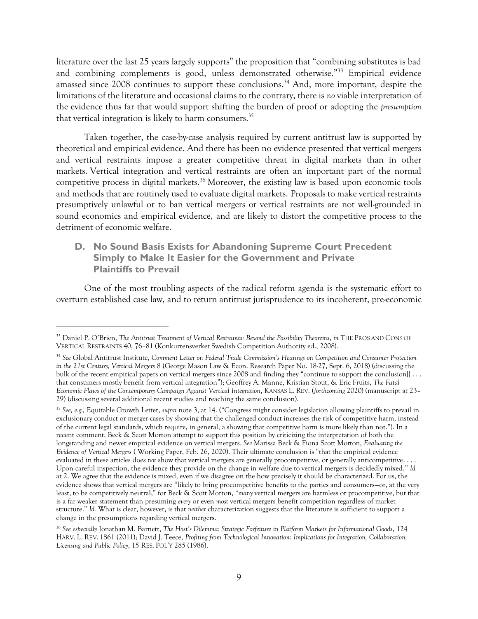literature over the last 25 years largely supports" the proposition that "combining substitutes is bad and combining complements is good, unless demonstrated otherwise."<sup>33</sup> Empirical evidence amassed since 2008 continues to support these conclusions.<sup>34</sup> And, more important, despite the limitations of the literature and occasional claims to the contrary, there is *no* viable interpretation of the evidence thus far that would support shifting the burden of proof or adopting the *presumption* that vertical integration is likely to harm consumers. 35

Taken together, the case-by-case analysis required by current antitrust law is supported by theoretical and empirical evidence. And there has been no evidence presented that vertical mergers and vertical restraints impose a greater competitive threat in digital markets than in other markets. Vertical integration and vertical restraints are often an important part of the normal competitive process in digital markets.<sup>36</sup> Moreover, the existing law is based upon economic tools and methods that are routinely used to evaluate digital markets. Proposals to make vertical restraints presumptively unlawful or to ban vertical mergers or vertical restraints are not well-grounded in sound economics and empirical evidence, and are likely to distort the competitive process to the detriment of economic welfare.

## **D. No Sound Basis Exists for Abandoning Supreme Court Precedent Simply to Make It Easier for the Government and Private Plaintiffs to Prevail**

One of the most troubling aspects of the radical reform agenda is the systematic effort to overturn established case law, and to return antitrust jurisprudence to its incoherent, pre-economic

<sup>33</sup> Daniel P. O'Brien, *The Antitrust Treatment of Vertical Restraints: Beyond the Possibility Theorems*, *in* THE PROS AND CONS OF VERTICAL RESTRAINTS 40, 76–81 (Konkurrensverket Swedish Competition Authority ed., 2008).

<sup>34</sup> *See* Global Antitrust Institute, *Comment Letter on Federal Trade Commission's Hearings on Competition and Consumer Protection in the 21st Century, Vertical Mergers* 8 (George Mason Law & Econ. Research Paper No. 18-27, Sept. 6, 2018) (discussing the bulk of the recent empirical papers on vertical mergers since 2008 and finding they "continue to support the conclusion[] . . . that consumers mostly benefit from vertical integration"); Geoffrey A. Manne, Kristian Stout, & Eric Fruits, *The Fatal Economic Flaws of the Contemporary Campaign Against Vertical Integration*, KANSAS L. REV. (*forthcoming* 2020) (manuscript at 23– 29) (discussing several additional recent studies and reaching the same conclusion).

<sup>35</sup> *See, e.g.,* Equitable Growth Letter, *supra* not[e 3](#page-0-0), at 14. ("Congress might consider legislation allowing plaintiffs to prevail in exclusionary conduct or merger cases by showing that the challenged conduct increases the risk of competitive harm, instead of the current legal standards, which require, in general, a showing that competitive harm is more likely than not."). In a recent comment, Beck & Scott Morton attempt to support this position by criticizing the interpretation of both the longstanding and newer empirical evidence on vertical mergers. *See* Marissa Beck & Fiona Scott Morton, *Evaluating the Evidence of Vertical Mergers* ( Working Paper, Feb. 26, 2020). Their ultimate conclusion is "that the empirical evidence evaluated in these articles does *not* show that vertical mergers are generally procompetitive, or generally anticompetitive. . . . Upon careful inspection, the evidence they provide on the change in welfare due to vertical mergers is decidedly mixed." *Id.* at 2. We agree that the evidence is mixed, even if we disagree on the how precisely it should be characterized. For us, the evidence shows that vertical mergers are "likely to bring procompetitive benefits to the parties and consumers—or, at the very least, to be competitively neutral;" for Beck & Scott Morton, "*many* vertical mergers are harmless or procompetitive, but that is a far weaker statement than presuming *every* or even *most* vertical mergers benefit competition regardless of market structure." *Id.* What is clear, however, is that *neither* characterization suggests that the literature is sufficient to support a change in the presumptions regarding vertical mergers.

<sup>36</sup> *See especially* Jonathan M. Barnett, *The Host's Dilemma: Strategic Forfeiture in Platform Markets for Informational Goods*, 124 HARV. L. REV. 1861 (2011); David J. Teece, *Profiting from Technological Innovation: Implications for Integration, Collaboration, Licensing and Public Policy*, 15 RES. POL'Y 285 (1986).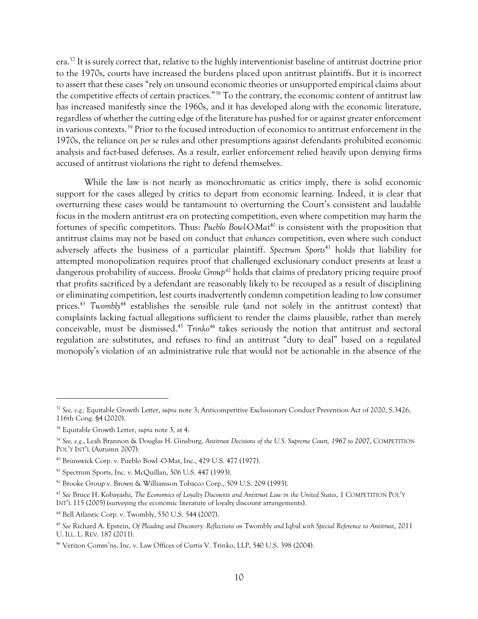era.<sup>37</sup> It is surely correct that, relative to the highly interventionist baseline of antitrust doctrine prior to the 1970s, courts have increased the burdens placed upon antitrust plaintiffs. But it is incorrect to assert that these cases "rely on unsound economic theories or unsupported empirical claims about the competitive effects of certain practices."<sup>38</sup> To the contrary, the economic content of antitrust law has increased manifestly since the 1960s, and it has developed along with the economic literature, regardless of whether the cutting edge of the literature has pushed for or against greater enforcement in various contexts.<sup>39</sup> Prior to the focused introduction of economics to antitrust enforcement in the 1970s, the reliance on *per se* rules and other presumptions against defendants prohibited economic analysis and fact-based defenses. As a result, earlier enforcement relied heavily upon denying firms accused of antitrust violations the right to defend themselves.

While the law is not nearly as monochromatic as critics imply, there is solid economic support for the cases alleged by critics to depart from economic learning. Indeed, it is clear that overturning these cases would be tantamount to overturning the Court's consistent and laudable focus in the modern antitrust era on protecting competition, even where competition may harm the fortunes of specific competitors. Thus: *Pueblo Bowl-O-Mat*<sup>40</sup> is consistent with the proposition that antitrust claims may not be based on conduct that *enhances* competition, even where such conduct adversely affects the business of a particular plaintiff. *Spectrum Sports<sup>41</sup>* holds that liability for attempted monopolization requires proof that challenged exclusionary conduct presents at least a dangerous probability of success. *Brooke Group<sup>42</sup>* holds that claims of predatory pricing require proof that profits sacrificed by a defendant are reasonably likely to be recouped as a result of disciplining or eliminating competition, lest courts inadvertently condemn competition leading to low consumer prices.<sup>43</sup> *Twombly*<sup>44</sup> establishes the sensible rule (and not solely in the antitrust context) that complaints lacking factual allegations sufficient to render the claims plausible, rather than merely conceivable, must be dismissed.<sup>45</sup> *Trinko<sup>46</sup>* takes seriously the notion that antitrust and sectoral regulation are substitutes, and refuses to find an antitrust "duty to deal" based on a regulated monopoly's violation of an administrative rule that would not be actionable in the absence of the

<sup>37</sup> *See, e.g.,* Equitable Growth Letter, *supra* note [3;](#page-0-0) Anticompetitive Exclusionary Conduct Prevention Act of 2020, S.3426, 116th Cong. §4 (2020).

<sup>38</sup> Equitable Growth Letter, *supra* note [3,](#page-0-0) at 4.

<sup>39</sup> *See, e.g.*, Leah Brannon & Douglas H. Ginsburg, *Antitrust Decisions of the U.S. Supreme Court, 1967 to 2007*, COMPETITION POL'Y INT'L (Autumn 2007).

<sup>40</sup> Brunswick Corp. v. Pueblo Bowl -O-Mat, Inc., 429 U.S. 477 (1977).

<sup>41</sup> Spectrum Sports, Inc. v. McQuillan, 506 U.S. 447 (1993).

<sup>42</sup> Brooke Group v. Brown & Williamson Tobacco Corp., 509 U.S. 209 (1993).

<sup>43</sup> *See* Bruce H. Kobayashi, *The Economics of Loyalty Discounts and Antitrust Law in the United States*, 1 COMPETITION POL'Y INT'L 115 (2005) (surveying the economic literature of loyalty discount arrangements).

<sup>44</sup> Bell Atlantic Corp. v. Twombly, 550 U.S. 544 (2007).

<sup>45</sup> *See* Richard A. Epstein, *Of Pleading and Discovery: Reflections on* Twombly *and* Iqbal *with Special Reference to Antitrust*, 2011 U. ILL. L. REV. 187 (2011).

<sup>46</sup> Verizon Comm'ns, Inc. v. Law Offices of Curtis V. Trinko, LLP, 540 U.S. 398 (2004).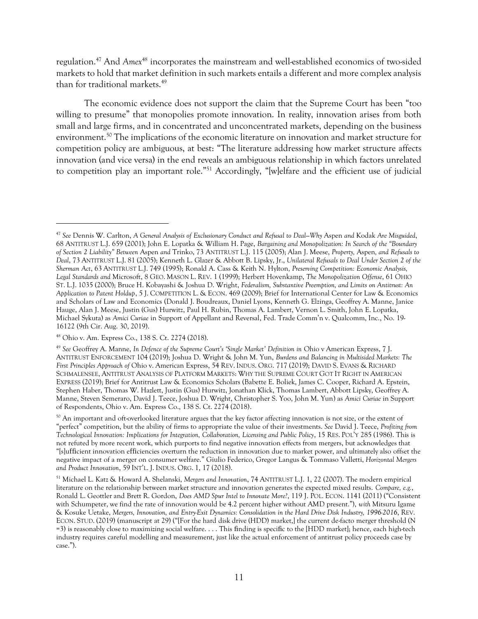regulation.<sup>47</sup> And *Amex* <sup>48</sup> incorporates the mainstream and well-established economics of two-sided markets to hold that market definition in such markets entails a different and more complex analysis than for traditional markets.<sup>49</sup>

<span id="page-10-0"></span>The economic evidence does not support the claim that the Supreme Court has been "too willing to presume" that monopolies promote innovation. In reality, innovation arises from both small and large firms, and in concentrated and unconcentrated markets, depending on the business environment. <sup>50</sup> The implications of the economic literature on innovation and market structure for competition policy are ambiguous, at best: "The literature addressing how market structure affects innovation (and vice versa) in the end reveals an ambiguous relationship in which factors unrelated to competition play an important role."<sup>51</sup> Accordingly, "[w]elfare and the efficient use of judicial

<sup>47</sup> *See* Dennis W. Carlton, *A General Analysis of Exclusionary Conduct and Refusal to Deal—Why* Aspen *and* Kodak *Are Misguided*, 68 ANTITRUST L.J. 659 (2001); John E. Lopatka & William H. Page, *Bargaining and Monopolization: In Search of the "Boundary of Section 2 Liability" Between* Aspen *and* Trinko, 73 ANTITRUST L.J. 115 (2005); Alan J. Meese, *Property,* Aspen*, and Refusals to Deal*, 73 ANTITRUST L.J. 81 (2005); Kenneth L. Glazer & Abbott B. Lipsky, Jr., *Unilateral Refusals to Deal Under Section 2 of the Sherman Act*, 63 ANTITRUST L.J. 749 (1995); Ronald A. Cass & Keith N. Hylton*, Preserving Competition: Economic Analysis, Legal Standards and* Microsoft, 8 GEO. MASON L. REV. 1 (1999); Herbert Hovenkamp, *The Monopolization Offense*, 61 OHIO ST. L.J. 1035 (2000); Bruce H. Kobayashi & Joshua D. Wright, *Federalism, Substantive Preemption, and Limits on Antitrust: An Application to Patent Holdup*, 5 J. COMPETITION L. & ECON. 469 (2009); Brief for International Center for Law & Economics and Scholars of Law and Economics (Donald J. Boudreaux, Daniel Lyons, Kenneth G. Elzinga, Geoffrey A. Manne, Janice Hauge, Alan J. Meese, Justin (Gus) Hurwitz, Paul H. Rubin, Thomas A. Lambert, Vernon L. Smith, John E. Lopatka, Michael Sykuta) as *Amici Curiae* in Support of Appellant and Reversal, Fed. Trade Comm'n v. Qualcomm, Inc., No. 19- 16122 (9th Cir. Aug. 30, 2019).

<sup>48</sup> Ohio v. Am. Express Co., 138 S. Ct. 2274 (2018).

<sup>49</sup> *See* Geoffrey A. Manne, *In Defence of the Supreme Court's 'Single Market' Definition in* Ohio v American Express, 7 J. ANTITRUST ENFORCEMENT 104 (2019); Joshua D. Wright & John M. Yun, *Burdens and Balancing in Multisided Markets: The First Principles Approach of* Ohio v. American Express, 54 REV. INDUS. ORG. 717 (2019); DAVID S. EVANS & RICHARD SCHMALENSEE, ANTITRUST ANALYSIS OF PLATFORM MARKETS: WHY THE SUPREME COURT GOT IT RIGHT IN AMERICAN EXPRESS (2019); Brief for Antitrust Law & Economics Scholars (Babette E. Boliek, James C. Cooper, Richard A. Epstein, Stephen Haber, Thomas W. Hazlett, Justin (Gus) Hurwitz, Jonathan Klick, Thomas Lambert, Abbott Lipsky, Geoffrey A. Manne, Steven Semeraro, David J. Teece, Joshua D. Wright, Christopher S. Yoo, John M. Yun) as *Amici Curiae* in Support of Respondents, Ohio v. Am. Express Co., 138 S. Ct. 2274 (2018).

<sup>&</sup>lt;sup>50</sup> An important and oft-overlooked literature argues that the key factor affecting innovation is not size, or the extent of "perfect" competition, but the ability of firms to appropriate the value of their investments. *See* David J. Teece, *Profiting from Technological Innovation: Implications for Integration, Collaboration, Licensing and Public Policy*, 15 RES. POL'Y 285 (1986). This is not refuted by more recent work, which purports to find negative innovation effects from mergers, but acknowledges that "[s]ufficient innovation efficiencies overturn the reduction in innovation due to market power, and ultimately also offset the negative impact of a merger on consumer welfare." Giulio Federico, Gregor Langus & Tommaso Valletti, *Horizontal Mergers and Product Innovation*, 59 INT'L. J. INDUS. ORG. 1, 17 (2018).

<sup>51</sup> Michael L. Katz & Howard A. Shelanski, *Mergers and Innovation*, 74 ANTITRUST L.J. 1, 22 (2007). The modern empirical literature on the relationship between market structure and innovation generates the expected mixed results. *Compare, e.g.*, Ronald L. Geottler and Brett R. Gordon, *Does AMD Spur Intel to Innovate More?*, 119 J. POL. ECON. 1141 (2011) ("Consistent with Schumpeter, we find the rate of innovation would be 4.2 percent higher without AMD present."), *with* Mitsuru Igame & Kosuke Uetake, *Mergers, Innovation, and Entry-Exit Dynamics: Consolidation in the Hard Drive Disk Industry, 1996-2016*, REV. ECON. STUD. (2019) (manuscript at 29) ("[For the hard disk drive (HDD) market,] the current de-facto merger threshold (N =3) is reasonably close to maximizing social welfare. . . . This finding is specific to the [HDD market]; hence, each high-tech industry requires careful modelling and measurement, just like the actual enforcement of antitrust policy proceeds case by case.").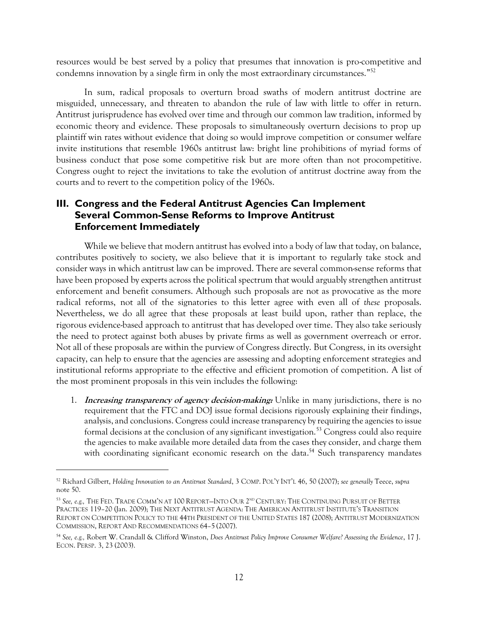resources would be best served by a policy that presumes that innovation is pro-competitive and condemns innovation by a single firm in only the most extraordinary circumstances." 52

In sum, radical proposals to overturn broad swaths of modern antitrust doctrine are misguided, unnecessary, and threaten to abandon the rule of law with little to offer in return. Antitrust jurisprudence has evolved over time and through our common law tradition, informed by economic theory and evidence. These proposals to simultaneously overturn decisions to prop up plaintiff win rates without evidence that doing so would improve competition or consumer welfare invite institutions that resemble 1960s antitrust law: bright line prohibitions of myriad forms of business conduct that pose some competitive risk but are more often than not procompetitive. Congress ought to reject the invitations to take the evolution of antitrust doctrine away from the courts and to revert to the competition policy of the 1960s.

# **III. Congress and the Federal Antitrust Agencies Can Implement Several Common-Sense Reforms to Improve Antitrust Enforcement Immediately**

While we believe that modern antitrust has evolved into a body of law that today, on balance, contributes positively to society, we also believe that it is important to regularly take stock and consider ways in which antitrust law can be improved. There are several common-sense reforms that have been proposed by experts across the political spectrum that would arguably strengthen antitrust enforcement and benefit consumers. Although such proposals are not as provocative as the more radical reforms, not all of the signatories to this letter agree with even all of *these* proposals. Nevertheless, we do all agree that these proposals at least build upon, rather than replace, the rigorous evidence-based approach to antitrust that has developed over time. They also take seriously the need to protect against both abuses by private firms as well as government overreach or error. Not all of these proposals are within the purview of Congress directly. But Congress, in its oversight capacity, can help to ensure that the agencies are assessing and adopting enforcement strategies and institutional reforms appropriate to the effective and efficient promotion of competition. A list of the most prominent proposals in this vein includes the following:

<span id="page-11-0"></span>1. **Increasing transparency of agency decision-making:** Unlike in many jurisdictions, there is no requirement that the FTC and DOJ issue formal decisions rigorously explaining their findings, analysis, and conclusions. Congress could increase transparency by requiring the agencies to issue formal decisions at the conclusion of any significant investigation.<sup>53</sup> Congress could also require the agencies to make available more detailed data from the cases they consider, and charge them with coordinating significant economic research on the data.<sup>54</sup> Such transparency mandates

<sup>52</sup> Richard Gilbert, *Holding Innovation to an Antitrust Standard*, 3 COMP. POL'Y INT'L 46, 50 (2007); *see generally* Teece, *supra* note [50.](#page-10-0)

<sup>&</sup>lt;sup>53</sup> See, e.g., The Fed. Trade Comm'n at 100 Report—Into Our 2<sup>nd</sup> Century: The Continuing Pursuit of Better PRACTICES 119–20 (Jan. 2009); THE NEXT ANTITRUST AGENDA: THE AMERICAN ANTITRUST INSTITUTE'S TRANSITION REPORT ON COMPETITION POLICY TO THE 44TH PRESIDENT OF THE UNITED STATES 187 (2008); ANTITRUST MODERNIZATION COMMISSION, REPORT AND RECOMMENDATIONS 64–5 (2007).

<sup>54</sup> *See, e.g.,* Robert W. Crandall & Clifford Winston, *Does Antitrust Policy Improve Consumer Welfare? Assessing the Evidence*, 17 J. ECON. PERSP. 3, 23 (2003).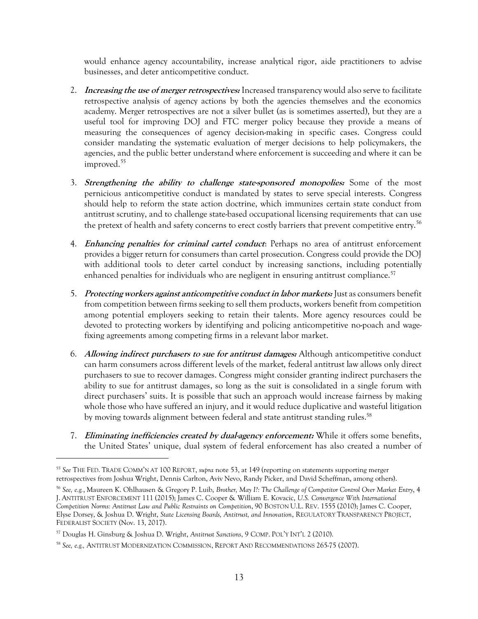would enhance agency accountability, increase analytical rigor, aide practitioners to advise businesses, and deter anticompetitive conduct.

- 2. **Increasing the use of merger retrospectives:** Increased transparency would also serve to facilitate retrospective analysis of agency actions by both the agencies themselves and the economics academy. Merger retrospectives are not a silver bullet (as is sometimes asserted), but they are a useful tool for improving DOJ and FTC merger policy because they provide a means of measuring the consequences of agency decision-making in specific cases. Congress could consider mandating the systematic evaluation of merger decisions to help policymakers, the agencies, and the public better understand where enforcement is succeeding and where it can be improved.<sup>55</sup>
- 3. **Strengthening the ability to challenge state-sponsored monopolies:** Some of the most pernicious anticompetitive conduct is mandated by states to serve special interests. Congress should help to reform the state action doctrine, which immunizes certain state conduct from antitrust scrutiny, and to challenge state-based occupational licensing requirements that can use the pretext of health and safety concerns to erect costly barriers that prevent competitive entry.<sup>56</sup>
- 4. **Enhancing penalties for criminal cartel conduct**: Perhaps no area of antitrust enforcement provides a bigger return for consumers than cartel prosecution. Congress could provide the DOJ with additional tools to deter cartel conduct by increasing sanctions, including potentially enhanced penalties for individuals who are negligent in ensuring antitrust compliance.<sup>57</sup>
- 5. **Protecting workers against anticompetitive conduct in labor markets:** Just as consumers benefit from competition between firms seeking to sell them products, workers benefit from competition among potential employers seeking to retain their talents. More agency resources could be devoted to protecting workers by identifying and policing anticompetitive no-poach and wagefixing agreements among competing firms in a relevant labor market.
- 6. **Allowing indirect purchasers to sue for antitrust damages:** Although anticompetitive conduct can harm consumers across different levels of the market, federal antitrust law allows only direct purchasers to sue to recover damages. Congress might consider granting indirect purchasers the ability to sue for antitrust damages, so long as the suit is consolidated in a single forum with direct purchasers' suits. It is possible that such an approach would increase fairness by making whole those who have suffered an injury, and it would reduce duplicative and wasteful litigation by moving towards alignment between federal and state antitrust standing rules. 58
- 7. **Eliminating inefficiencies created by dual-agency enforcement:** While it offers some benefits, the United States' unique, dual system of federal enforcement has also created a number of

<sup>55</sup> *See* THE FED. TRADE COMM'N AT 100 REPORT, *supra* note [53,](#page-11-0) at 149 (reporting on statements supporting merger retrospectives from Joshua Wright, Dennis Carlton, Aviv Nevo, Randy Picker, and David Scheffman, among others).

<sup>56</sup> *See, e.g.*, Maureen K. Ohlhausen & Gregory P. Luib, *Brother, May I?: The Challenge of Competitor Control Over Market Entry*, 4 J. ANTITRUST ENFORCEMENT 111 (2015); James C. Cooper & William E. Kovacic, *U.S. Convergence With International Competition Norms: Antitrust Law and Public Restraints on Competition*, 90 BOSTON U.L. REV. 1555 (2010); James C. Cooper, Elyse Dorsey, & Joshua D. Wright, *State Licensing Boards, Antitrust, and Innovation*, REGULATORY TRANSPARENCY PROJECT, FEDERALIST SOCIETY (Nov. 13, 2017).

<sup>57</sup> Douglas H. Ginsburg & Joshua D. Wright, *Antitrust Sanctions*, 9 COMP. POL'Y INT'L 2 (2010).

<sup>58</sup> *See, e.g.,* ANTITRUST MODERNIZATION COMMISSION, REPORT AND RECOMMENDATIONS 265-75 (2007).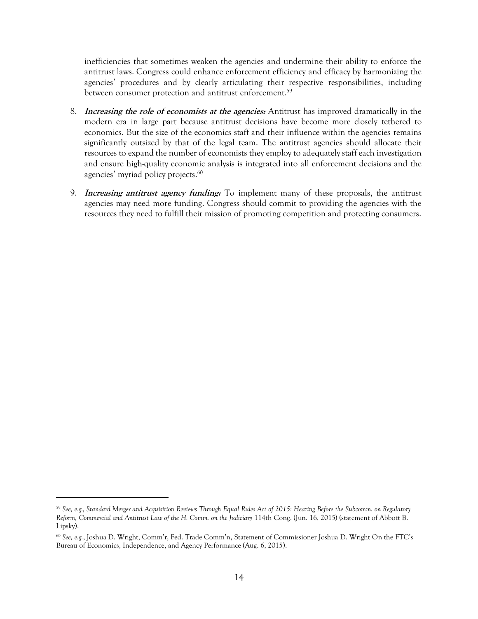inefficiencies that sometimes weaken the agencies and undermine their ability to enforce the antitrust laws. Congress could enhance enforcement efficiency and efficacy by harmonizing the agencies' procedures and by clearly articulating their respective responsibilities, including between consumer protection and antitrust enforcement. 59

- 8. **Increasing the role of economists at the agencies:** Antitrust has improved dramatically in the modern era in large part because antitrust decisions have become more closely tethered to economics. But the size of the economics staff and their influence within the agencies remains significantly outsized by that of the legal team. The antitrust agencies should allocate their resources to expand the number of economists they employ to adequately staff each investigation and ensure high-quality economic analysis is integrated into all enforcement decisions and the agencies' myriad policy projects.<sup>60</sup>
- 9. **Increasing antitrust agency funding:** To implement many of these proposals, the antitrust agencies may need more funding. Congress should commit to providing the agencies with the resources they need to fulfill their mission of promoting competition and protecting consumers.

<sup>59</sup> *See, e.g., Standard Merger and Acquisition Reviews Through Equal Rules Act of 2015: Hearing Before the Subcomm. on Regulatory Reform, Commercial and Antitrust Law of the H. Comm. on the Judiciary* 114th Cong. (Jun. 16, 2015) (statement of Abbott B. Lipsky).

<sup>60</sup> *See, e.g.*, Joshua D. Wright, Comm'r, Fed. Trade Comm'n, Statement of Commissioner Joshua D. Wright On the FTC's Bureau of Economics, Independence, and Agency Performance (Aug. 6, 2015).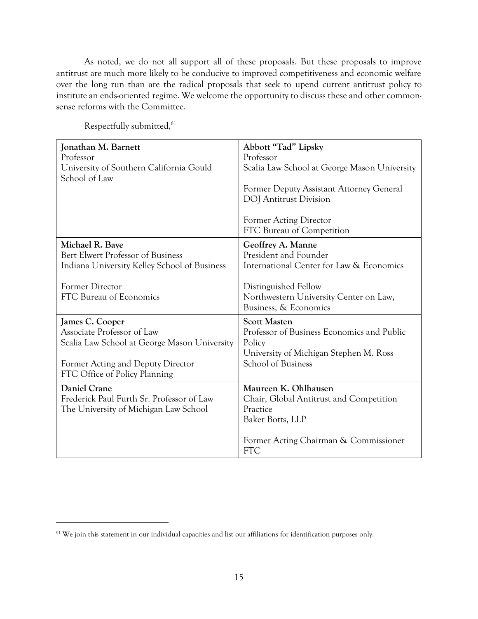As noted, we do not all support all of these proposals. But these proposals to improve antitrust are much more likely to be conducive to improved competitiveness and economic welfare over the long run than are the radical proposals that seek to upend current antitrust policy to institute an ends-oriented regime. We welcome the opportunity to discuss these and other commonsense reforms with the Committee.

| Jonathan M. Barnett<br>Professor<br>University of Southern California Gould<br>School of Law                                                                        | Abbott "Tad" Lipsky<br>Professor<br>Scalia Law School at George Mason University<br>Former Deputy Assistant Attorney General<br><b>DOJ</b> Antitrust Division |
|---------------------------------------------------------------------------------------------------------------------------------------------------------------------|---------------------------------------------------------------------------------------------------------------------------------------------------------------|
|                                                                                                                                                                     | <b>Former Acting Director</b><br>FTC Bureau of Competition                                                                                                    |
| Michael R. Baye<br>Bert Elwert Professor of Business<br>Indiana University Kelley School of Business                                                                | Geoffrey A. Manne<br>President and Founder<br>International Center for Law & Economics                                                                        |
| Former Director<br>FTC Bureau of Economics                                                                                                                          | Distinguished Fellow<br>Northwestern University Center on Law,<br>Business, & Economics                                                                       |
| James C. Cooper<br>Associate Professor of Law<br>Scalia Law School at George Mason University<br>Former Acting and Deputy Director<br>FTC Office of Policy Planning | <b>Scott Masten</b><br>Professor of Business Economics and Public<br>Policy<br>University of Michigan Stephen M. Ross<br>School of Business                   |
| Daniel Crane<br>Frederick Paul Furth Sr. Professor of Law<br>The University of Michigan Law School                                                                  | Maureen K. Ohlhausen<br>Chair, Global Antitrust and Competition<br>Practice<br>Baker Botts, LLP<br>Former Acting Chairman & Commissioner<br><b>FTC</b>        |

Respectfully submitted,<sup>61</sup>

 $61$  We join this statement in our individual capacities and list our affiliations for identification purposes only.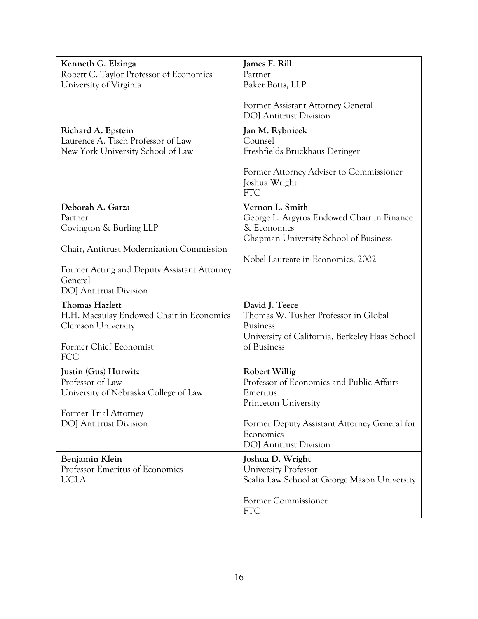| Kenneth G. Elzinga<br>Robert C. Taylor Professor of Economics<br>University of Virginia                                                                                                        | James F. Rill<br>Partner<br>Baker Botts, LLP<br>Former Assistant Attorney General<br><b>DOJ</b> Antitrust Division                                                                                  |
|------------------------------------------------------------------------------------------------------------------------------------------------------------------------------------------------|-----------------------------------------------------------------------------------------------------------------------------------------------------------------------------------------------------|
| Richard A. Epstein<br>Laurence A. Tisch Professor of Law<br>New York University School of Law                                                                                                  | Jan M. Rybnicek<br>Counsel<br>Freshfields Bruckhaus Deringer<br>Former Attorney Adviser to Commissioner<br>Joshua Wright<br><b>FTC</b>                                                              |
| Deborah A. Garza<br>Partner<br>Covington & Burling LLP<br>Chair, Antitrust Modernization Commission<br>Former Acting and Deputy Assistant Attorney<br>General<br><b>DOJ</b> Antitrust Division | Vernon L. Smith<br>George L. Argyros Endowed Chair in Finance<br>& Economics<br>Chapman University School of Business<br>Nobel Laureate in Economics, 2002                                          |
| <b>Thomas Hazlett</b><br>H.H. Macaulay Endowed Chair in Economics<br><b>Clemson University</b><br>Former Chief Economist<br><b>FCC</b>                                                         | David J. Teece<br>Thomas W. Tusher Professor in Global<br><b>Business</b><br>University of California, Berkeley Haas School<br>of Business                                                          |
| Justin (Gus) Hurwitz<br>Professor of Law<br>University of Nebraska College of Law<br>Former Trial Attorney<br>DOJ Antitrust Division                                                           | <b>Robert Willig</b><br>Professor of Economics and Public Affairs<br>Emeritus<br>Princeton University<br>Former Deputy Assistant Attorney General for<br>Economics<br><b>DOJ</b> Antitrust Division |
| Benjamin Klein<br>Professor Emeritus of Economics<br><b>UCLA</b>                                                                                                                               | Joshua D. Wright<br><b>University Professor</b><br>Scalia Law School at George Mason University<br>Former Commissioner<br><b>FTC</b>                                                                |